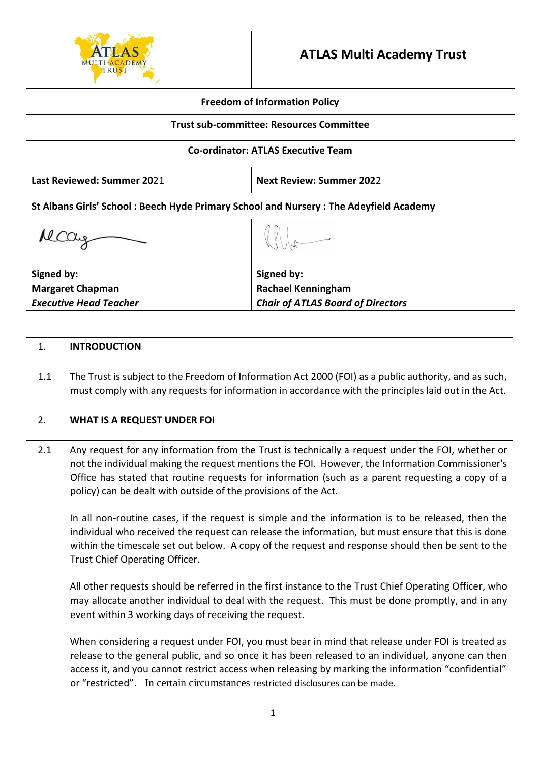

# **ATLAS Multi Academy Trust**

## **Freedom of Information Policy**

### **Trust sub-committee: Resources Committee**

#### **Co-ordinator: ATLAS Executive Team**

**Last Reviewed: Summer 20**21 **Next Review: Summer 202**2

## **St Albans Girls' School : Beech Hyde Primary School and Nursery : The Adeyfield Academy**

| Signed by:                    | Signed by:                               |
|-------------------------------|------------------------------------------|
| <b>Margaret Chapman</b>       | <b>Rachael Kenningham</b>                |
| <b>Executive Head Teacher</b> | <b>Chair of ATLAS Board of Directors</b> |

| 1.  | <b>INTRODUCTION</b>                                                                                                                                                                                                                                                                                                                                                                          |
|-----|----------------------------------------------------------------------------------------------------------------------------------------------------------------------------------------------------------------------------------------------------------------------------------------------------------------------------------------------------------------------------------------------|
| 1.1 | The Trust is subject to the Freedom of Information Act 2000 (FOI) as a public authority, and as such,<br>must comply with any requests for information in accordance with the principles laid out in the Act.                                                                                                                                                                                |
| 2.  | <b>WHAT IS A REQUEST UNDER FOI</b>                                                                                                                                                                                                                                                                                                                                                           |
| 2.1 | Any request for any information from the Trust is technically a request under the FOI, whether or<br>not the individual making the request mentions the FOI. However, the Information Commissioner's<br>Office has stated that routine requests for information (such as a parent requesting a copy of a<br>policy) can be dealt with outside of the provisions of the Act.                  |
|     | In all non-routine cases, if the request is simple and the information is to be released, then the<br>individual who received the request can release the information, but must ensure that this is done<br>within the timescale set out below. A copy of the request and response should then be sent to the<br>Trust Chief Operating Officer.                                              |
|     | All other requests should be referred in the first instance to the Trust Chief Operating Officer, who<br>may allocate another individual to deal with the request. This must be done promptly, and in any<br>event within 3 working days of receiving the request.                                                                                                                           |
|     | When considering a request under FOI, you must bear in mind that release under FOI is treated as<br>release to the general public, and so once it has been released to an individual, anyone can then<br>access it, and you cannot restrict access when releasing by marking the information "confidential"<br>or "restricted". In certain circumstances restricted disclosures can be made. |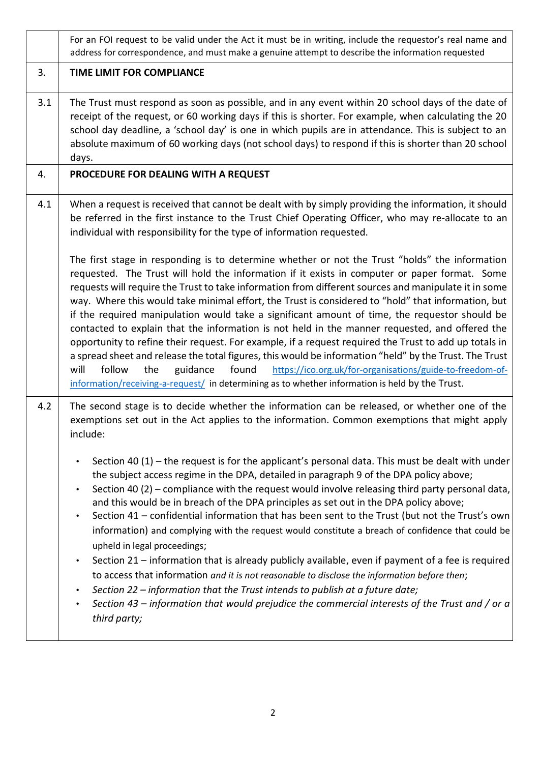|     | For an FOI request to be valid under the Act it must be in writing, include the requestor's real name and<br>address for correspondence, and must make a genuine attempt to describe the information requested                                                                                                                                                                                                                                                                                                                                                                                                                                                                                                                                                                                                                                                                                                                                                                                                                                           |
|-----|----------------------------------------------------------------------------------------------------------------------------------------------------------------------------------------------------------------------------------------------------------------------------------------------------------------------------------------------------------------------------------------------------------------------------------------------------------------------------------------------------------------------------------------------------------------------------------------------------------------------------------------------------------------------------------------------------------------------------------------------------------------------------------------------------------------------------------------------------------------------------------------------------------------------------------------------------------------------------------------------------------------------------------------------------------|
| 3.  | <b>TIME LIMIT FOR COMPLIANCE</b>                                                                                                                                                                                                                                                                                                                                                                                                                                                                                                                                                                                                                                                                                                                                                                                                                                                                                                                                                                                                                         |
| 3.1 | The Trust must respond as soon as possible, and in any event within 20 school days of the date of<br>receipt of the request, or 60 working days if this is shorter. For example, when calculating the 20<br>school day deadline, a 'school day' is one in which pupils are in attendance. This is subject to an<br>absolute maximum of 60 working days (not school days) to respond if this is shorter than 20 school<br>days.                                                                                                                                                                                                                                                                                                                                                                                                                                                                                                                                                                                                                           |
| 4.  | PROCEDURE FOR DEALING WITH A REQUEST                                                                                                                                                                                                                                                                                                                                                                                                                                                                                                                                                                                                                                                                                                                                                                                                                                                                                                                                                                                                                     |
| 4.1 | When a request is received that cannot be dealt with by simply providing the information, it should<br>be referred in the first instance to the Trust Chief Operating Officer, who may re-allocate to an<br>individual with responsibility for the type of information requested.                                                                                                                                                                                                                                                                                                                                                                                                                                                                                                                                                                                                                                                                                                                                                                        |
|     | The first stage in responding is to determine whether or not the Trust "holds" the information<br>requested. The Trust will hold the information if it exists in computer or paper format. Some<br>requests will require the Trust to take information from different sources and manipulate it in some<br>way. Where this would take minimal effort, the Trust is considered to "hold" that information, but<br>if the required manipulation would take a significant amount of time, the requestor should be<br>contacted to explain that the information is not held in the manner requested, and offered the<br>opportunity to refine their request. For example, if a request required the Trust to add up totals in<br>a spread sheet and release the total figures, this would be information "held" by the Trust. The Trust<br>will<br>follow<br>guidance<br>found<br>https://ico.org.uk/for-organisations/guide-to-freedom-of-<br>the<br>information/receiving-a-request/ in determining as to whether information is held by the Trust.        |
| 4.2 | The second stage is to decide whether the information can be released, or whether one of the<br>exemptions set out in the Act applies to the information. Common exemptions that might apply<br>include:                                                                                                                                                                                                                                                                                                                                                                                                                                                                                                                                                                                                                                                                                                                                                                                                                                                 |
|     | Section 40 $(1)$ – the request is for the applicant's personal data. This must be dealt with under<br>the subject access regime in the DPA, detailed in paragraph 9 of the DPA policy above;<br>Section 40 (2) – compliance with the request would involve releasing third party personal data,<br>and this would be in breach of the DPA principles as set out in the DPA policy above;<br>Section 41 – confidential information that has been sent to the Trust (but not the Trust's own<br>$\bullet$<br>information) and complying with the request would constitute a breach of confidence that could be<br>upheld in legal proceedings;<br>Section 21 – information that is already publicly available, even if payment of a fee is required<br>٠<br>to access that information and it is not reasonable to disclose the information before then;<br>Section 22 – information that the Trust intends to publish at a future date;<br>Section 43 – information that would prejudice the commercial interests of the Trust and / or a<br>third party; |